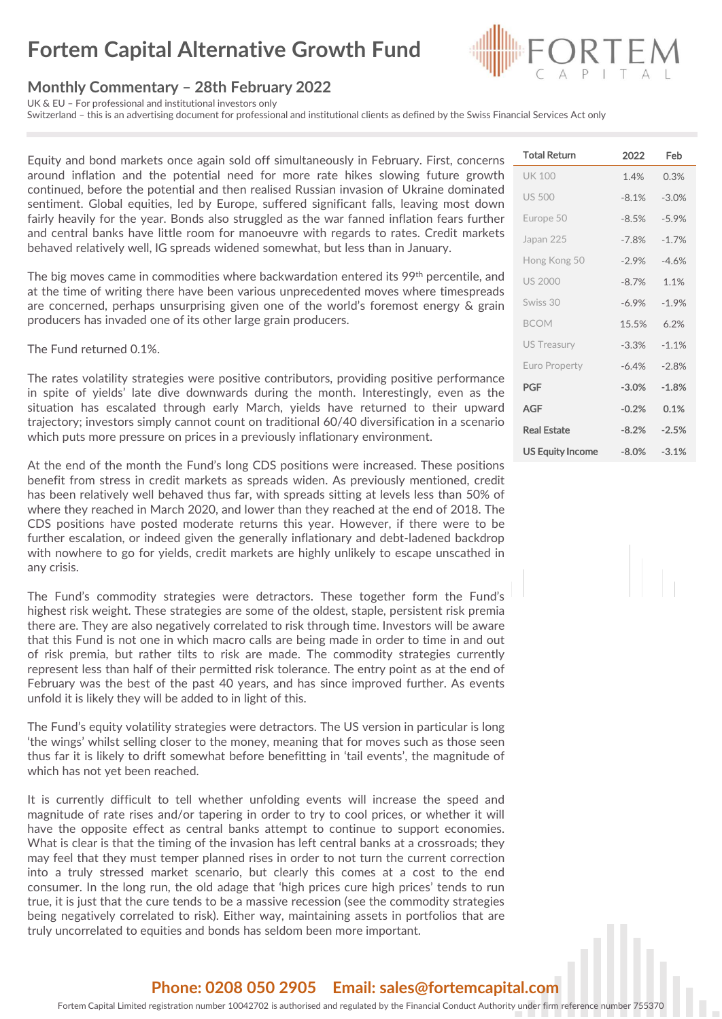# **Fortem Capital Alternative Growth Fund**

### **Monthly Commentary – 28th February 2022**

UK & EU – For professional and institutional investors only

Switzerland – this is an advertising document for professional and institutional clients as defined by the Swiss Financial Services Act only

Equity and bond markets once again sold off simultaneously in February. First, concerns around inflation and the potential need for more rate hikes slowing future growth continued, before the potential and then realised Russian invasion of Ukraine dominated sentiment. Global equities, led by Europe, suffered significant falls, leaving most down fairly heavily for the year. Bonds also struggled as the war fanned inflation fears further and central banks have little room for manoeuvre with regards to rates. Credit markets behaved relatively well, IG spreads widened somewhat, but less than in January.

The big moves came in commodities where backwardation entered its 99<sup>th</sup> percentile, and at the time of writing there have been various unprecedented moves where timespreads are concerned, perhaps unsurprising given one of the world's foremost energy & grain producers has invaded one of its other large grain producers.

The Fund returned 0.1%.

The rates volatility strategies were positive contributors, providing positive performance in spite of yields' late dive downwards during the month. Interestingly, even as the situation has escalated through early March, yields have returned to their upward trajectory; investors simply cannot count on traditional 60/40 diversification in a scenario which puts more pressure on prices in a previously inflationary environment.

At the end of the month the Fund's long CDS positions were increased. These positions benefit from stress in credit markets as spreads widen. As previously mentioned, credit has been relatively well behaved thus far, with spreads sitting at levels less than 50% of where they reached in March 2020, and lower than they reached at the end of 2018. The CDS positions have posted moderate returns this year. However, if there were to be further escalation, or indeed given the generally inflationary and debt-ladened backdrop with nowhere to go for yields, credit markets are highly unlikely to escape unscathed in any crisis.

The Fund's commodity strategies were detractors. These together form the Fund's highest risk weight. These strategies are some of the oldest, staple, persistent risk premia there are. They are also negatively correlated to risk through time. Investors will be aware that this Fund is not one in which macro calls are being made in order to time in and out of risk premia, but rather tilts to risk are made. The commodity strategies currently represent less than half of their permitted risk tolerance. The entry point as at the end of February was the best of the past 40 years, and has since improved further. As events unfold it is likely they will be added to in light of this.

The Fund's equity volatility strategies were detractors. The US version in particular is long 'the wings' whilst selling closer to the money, meaning that for moves such as those seen thus far it is likely to drift somewhat before benefitting in 'tail events', the magnitude of which has not yet been reached.

It is currently difficult to tell whether unfolding events will increase the speed and magnitude of rate rises and/or tapering in order to try to cool prices, or whether it will have the opposite effect as central banks attempt to continue to support economies. What is clear is that the timing of the invasion has left central banks at a crossroads; they may feel that they must temper planned rises in order to not turn the current correction into a truly stressed market scenario, but clearly this comes at a cost to the end consumer. In the long run, the old adage that 'high prices cure high prices' tends to run true, it is just that the cure tends to be a massive recession (see the commodity strategies being negatively correlated to risk). Either way, maintaining assets in portfolios that are truly uncorrelated to equities and bonds has seldom been more important.

| <b>Total Return</b>     | 2022     | Feb     |
|-------------------------|----------|---------|
| <b>UK 100</b>           | 1.4%     | 0.3%    |
| <b>US 500</b>           | $-8.1%$  | $-3.0%$ |
| Europe 50               | $-8.5%$  | $-5.9%$ |
| Japan 225               | $-7.8%$  | $-1.7%$ |
| Hong Kong 50            | $-2.9%$  | $-4.6%$ |
| <b>US 2000</b>          | $-8.7%$  | 1.1%    |
| Swiss 30                | $-6.9\%$ | $-1.9%$ |
| <b>BCOM</b>             | 15.5%    | 6.2%    |
| <b>US Treasury</b>      | $-3.3%$  | $-1.1%$ |
| Euro Property           | $-6.4%$  | $-2.8%$ |
| <b>PGF</b>              | $-3.0%$  | $-1.8%$ |
| <b>AGF</b>              | $-0.2%$  | 0.1%    |
| <b>Real Estate</b>      | $-8.2%$  | $-2.5%$ |
| <b>US Equity Income</b> | $-8.0%$  | $-3.1%$ |

### **Phone: 0208 050 2905 Email: sales@fortemcapital.com**